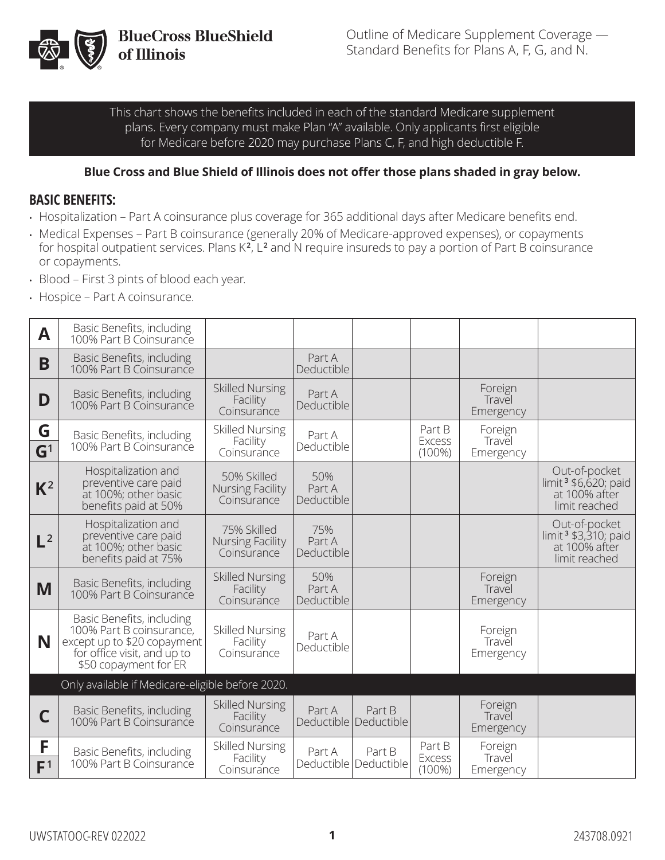

This chart shows the benefits included in each of the standard Medicare supplement plans. Every company must make Plan "A" available. Only applicants first eligible for Medicare before 2020 may purchase Plans C, F, and high deductible F.

#### **Blue Cross and Blue Shield of Illinois does not offer those plans shaded in gray below.**

#### **BASIC BENEFITS:**

- Hospitalization Part A coinsurance plus coverage for 365 additional days after Medicare benefits end.
- Medical Expenses Part B coinsurance (generally 20% of Medicare-approved expenses), or copayments for hospital outpatient services. Plans K<sup>2</sup>, L<sup>2</sup> and N require insureds to pay a portion of Part B coinsurance or copayments.
- Blood First 3 pints of blood each year.
- Hospice Part A coinsurance.

| A                   | Basic Benefits, including<br>100% Part B Coinsurance                                                                                         |                                                       |                             |                                   |                                      |                                |                                                                                     |
|---------------------|----------------------------------------------------------------------------------------------------------------------------------------------|-------------------------------------------------------|-----------------------------|-----------------------------------|--------------------------------------|--------------------------------|-------------------------------------------------------------------------------------|
| B                   | Basic Benefits, including<br>100% Part B Coinsurance                                                                                         |                                                       | Part A<br>Deductible        |                                   |                                      |                                |                                                                                     |
| D                   | <b>Basic Benefits, including</b><br>100% Part B Coinsurance                                                                                  | <b>Skilled Nursing</b><br>Facility<br>Coinsurance     | Part A<br>Deductible        |                                   |                                      | Foreign<br>Travel<br>Emergency |                                                                                     |
| G<br>$\mathsf{G}^1$ | Basic Benefits, including<br>100% Part B Coinsurance                                                                                         | <b>Skilled Nursing</b><br>Facility<br>Coinsurance     | Part A<br>Deductible        |                                   | Part B<br><b>Excess</b><br>$(100\%)$ | Foreign<br>Travel<br>Emergency |                                                                                     |
| $K^2$               | Hospitalization and<br>preventive care paid<br>at 100%; other basic<br>benefits paid at 50%                                                  | 50% Skilled<br><b>Nursing Facility</b><br>Coinsurance | 50%<br>Part A<br>Deductible |                                   |                                      |                                | Out-of-pocket<br>limit <sup>3</sup> \$6,620; paid<br>at 100% after<br>limit reached |
| $L^2$               | Hospitalization and<br>preventive care paid<br>at 100%; other basic<br>benefits paid at 75%                                                  | 75% Skilled<br>Nursing Facility<br>Coinsurance        | 75%<br>Part A<br>Deductible |                                   |                                      |                                | Out-of-pocket<br>limit <sup>3</sup> \$3,310; paid<br>at 100% after<br>limit reached |
| M                   | Basic Benefits, including<br>100% Part B Coinsurance                                                                                         | <b>Skilled Nursing</b><br>Facility<br>Coinsurance     | 50%<br>Part A<br>Deductible |                                   |                                      | Foreign<br>Travel<br>Emergency |                                                                                     |
| N                   | Basic Benefits, including<br>100% Part B coinsurance,<br>except up to \$20 copayment<br>for office visit, and up to<br>\$50 copayment for ER | <b>Skilled Nursing</b><br>Facility<br>Coinsurance     | Part A<br>Deductible        |                                   |                                      | Foreign<br>Travel<br>Emergency |                                                                                     |
|                     | Only available if Medicare-eligible before 2020.                                                                                             |                                                       |                             |                                   |                                      |                                |                                                                                     |
| С                   | Basic Benefits, including<br>100% Part B Coinsurance                                                                                         | <b>Skilled Nursing</b><br>Facility<br>Coinsurance     | Part A                      | Part B<br>Deductible Deductible   |                                      | Foreign<br>Travel<br>Emergency |                                                                                     |
| F<br>F <sup>1</sup> | Basic Benefits, including<br>100% Part B Coinsurance                                                                                         | <b>Skilled Nursing</b><br>Facility<br>Coinsurance     | Part A                      | Part B<br>Deductible   Deductible | Part B<br><b>Excess</b><br>$(100\%)$ | Foreign<br>Travel<br>Emergency |                                                                                     |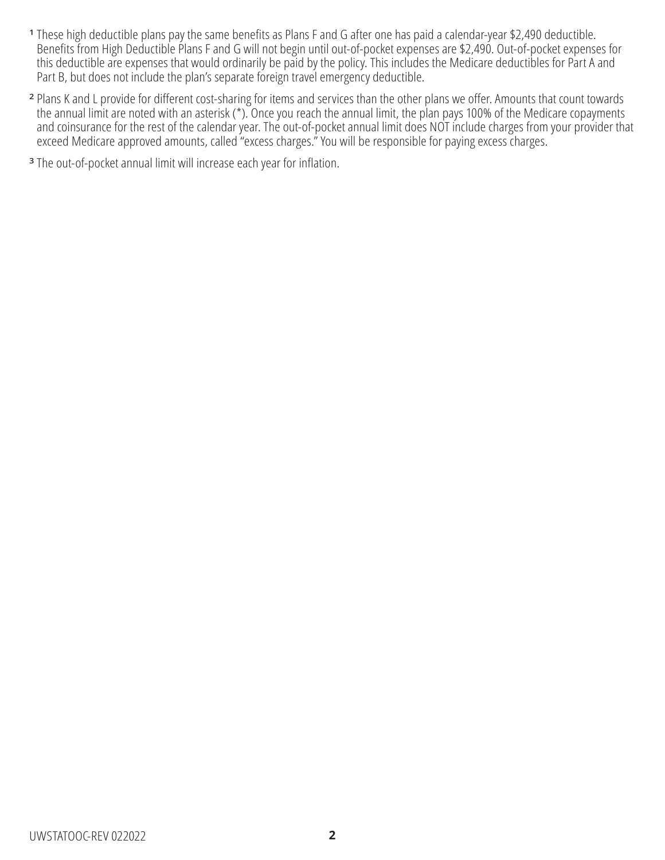- **<sup>1</sup>** These high deductible plans pay the same benefits as Plans F and G after one has paid a calendar-year \$2,490 deductible. Benefits from High Deductible Plans F and G will not begin until out-of-pocket expenses are \$2,490. Out-of-pocket expenses for this deductible are expenses that would ordinarily be paid by the policy. This includes the Medicare deductibles for Part A and Part B, but does not include the plan's separate foreign travel emergency deductible.
- **<sup>2</sup>** Plans K and L provide for different cost-sharing for items and services than the other plans we offer. Amounts that count towards the annual limit are noted with an asterisk (\*). Once you reach the annual limit, the plan pays 100% of the Medicare copayments and coinsurance for the rest of the calendar year. The out-of-pocket annual limit does NOT include charges from your provider that exceed Medicare approved amounts, called "excess charges." You will be responsible for paying excess charges.
- **<sup>3</sup>** The out-of-pocket annual limit will increase each year for inflation.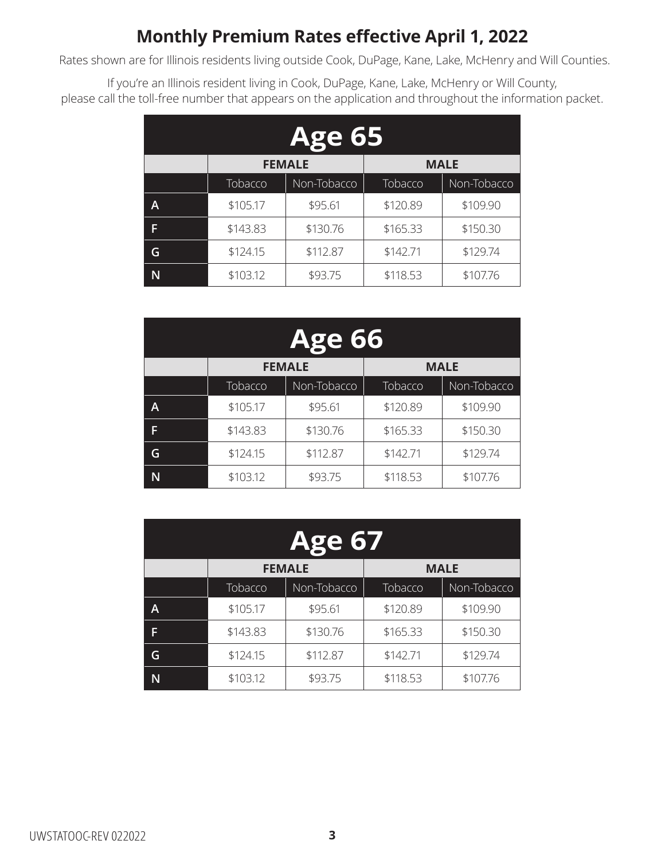## **Monthly Premium Rates effective April 1, 2022**

Rates shown are for Illinois residents living outside Cook, DuPage, Kane, Lake, McHenry and Will Counties.

If you're an Illinois resident living in Cook, DuPage, Kane, Lake, McHenry or Will County, please call the toll-free number that appears on the application and throughout the information packet.

| <b>Age 65</b> |          |                              |          |             |  |  |
|---------------|----------|------------------------------|----------|-------------|--|--|
|               |          | <b>MALE</b><br><b>FEMALE</b> |          |             |  |  |
|               | Tobacco  | Non-Tobacco                  | Tobacco  | Non-Tobacco |  |  |
| A             | \$105.17 | \$95.61                      | \$120.89 | \$109.90    |  |  |
| F             | \$143.83 | \$130.76                     | \$165.33 | \$150.30    |  |  |
| G             | \$124.15 | \$112.87                     | \$142.71 | \$129.74    |  |  |
|               | \$103.12 | \$93.75                      | \$118.53 | \$107.76    |  |  |

| <b>Age 66</b> |                              |             |          |             |  |  |
|---------------|------------------------------|-------------|----------|-------------|--|--|
|               | <b>MALE</b><br><b>FEMALE</b> |             |          |             |  |  |
|               | Tobacco                      | Non-Tobacco | Tobacco  | Non-Tobacco |  |  |
| A             | \$105.17                     | \$95.61     | \$120.89 | \$109.90    |  |  |
| F             | \$143.83                     | \$130.76    | \$165.33 | \$150.30    |  |  |
| G             | \$124.15                     | \$112.87    | \$142.71 | \$129.74    |  |  |
|               | \$103.12                     | \$93.75     | \$118.53 | \$107.76    |  |  |

| <b>Age 67</b> |          |                              |          |             |  |  |
|---------------|----------|------------------------------|----------|-------------|--|--|
|               |          | <b>MALE</b><br><b>FEMALE</b> |          |             |  |  |
|               | Tobacco  | Non-Tobacco                  | Tobacco  | Non-Tobacco |  |  |
| A             | \$105.17 | \$95.61                      | \$120.89 | \$109.90    |  |  |
| F             | \$143.83 | \$130.76                     | \$165.33 | \$150.30    |  |  |
| G             | \$124.15 | \$112.87                     | \$142.71 | \$129.74    |  |  |
|               | \$103.12 | \$93.75                      | \$118.53 | \$107.76    |  |  |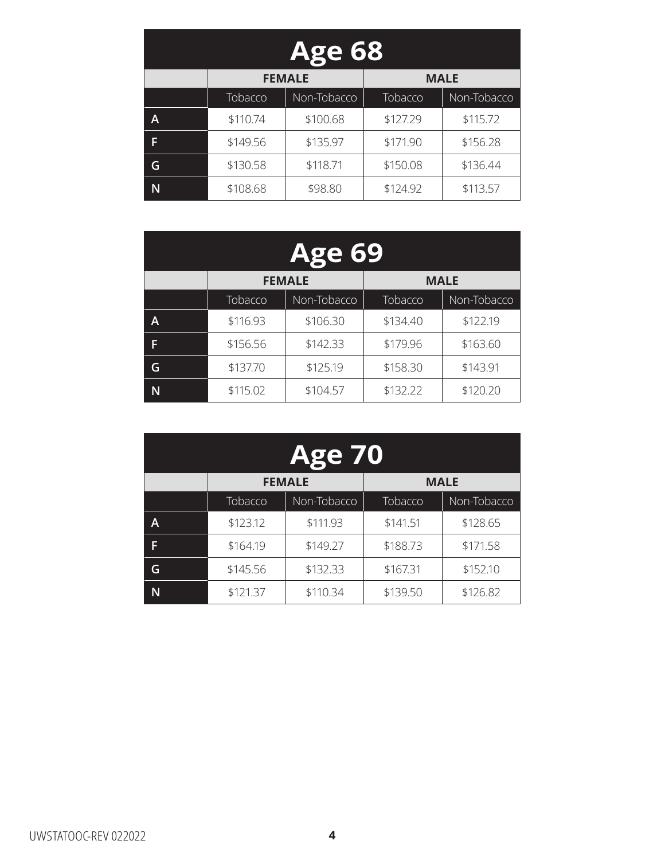| <b>Age 68</b> |          |                              |          |             |  |  |
|---------------|----------|------------------------------|----------|-------------|--|--|
|               |          | <b>FEMALE</b><br><b>MALE</b> |          |             |  |  |
|               | Tobacco  | Non-Tobacco                  | Tobacco  | Non-Tobacco |  |  |
| A             | \$110.74 | \$100.68                     | \$127.29 | \$115.72    |  |  |
| F             | \$149.56 | \$135.97                     | \$171.90 | \$156.28    |  |  |
| G             | \$130.58 | \$118.71                     | \$150.08 | \$136.44    |  |  |
|               | \$108.68 | \$98.80                      | \$124.92 | \$113.57    |  |  |

| <b>Age 69</b> |          |                              |          |             |  |  |
|---------------|----------|------------------------------|----------|-------------|--|--|
|               |          | <b>MALE</b><br><b>FEMALE</b> |          |             |  |  |
|               | Tobacco  | Non-Tobacco                  | Tobacco  | Non-Tobacco |  |  |
| A             | \$116.93 | \$106.30                     | \$134.40 | \$122.19    |  |  |
| F             | \$156.56 | \$142.33                     | \$179.96 | \$163.60    |  |  |
| G             | \$137.70 | \$125.19                     | \$158.30 | \$143.91    |  |  |
| N             | \$115.02 | \$104.57                     | \$132.22 | \$120.20    |  |  |

| <b>Age 70</b> |                              |             |          |             |  |  |
|---------------|------------------------------|-------------|----------|-------------|--|--|
|               | <b>MALE</b><br><b>FEMALE</b> |             |          |             |  |  |
|               | Tobacco                      | Non-Tobacco | Tobacco  | Non-Tobacco |  |  |
| A             | \$123.12                     | \$111.93    | \$141.51 | \$128.65    |  |  |
| F             | \$164.19                     | \$149.27    | \$188.73 | \$171.58    |  |  |
| G             | \$145.56                     | \$132.33    | \$167.31 | \$152.10    |  |  |
|               | \$121.37                     | \$110.34    | \$139.50 | \$126.82    |  |  |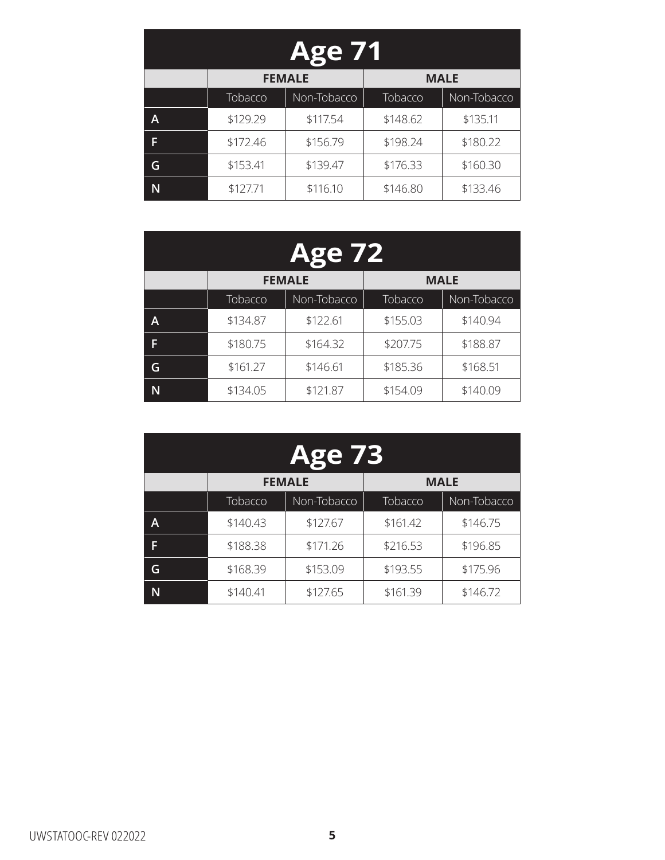| <b>Age 71</b> |                              |             |          |             |  |  |
|---------------|------------------------------|-------------|----------|-------------|--|--|
|               | <b>MALE</b><br><b>FEMALE</b> |             |          |             |  |  |
|               | Tobacco                      | Non-Tobacco | Tobacco  | Non-Tobacco |  |  |
| A             | \$129.29                     | \$117.54    | \$148.62 | \$135.11    |  |  |
| F             | \$172.46                     | \$156.79    | \$198.24 | \$180.22    |  |  |
| G             | \$153.41                     | \$139.47    | \$176.33 | \$160.30    |  |  |
|               | \$127.71                     | \$116.10    | \$146.80 | \$133.46    |  |  |

| <b>Age 72</b> |          |                              |          |             |  |  |
|---------------|----------|------------------------------|----------|-------------|--|--|
|               |          | <b>MALE</b><br><b>FEMALE</b> |          |             |  |  |
|               | Tobacco  | Non-Tobacco                  | Tobacco  | Non-Tobacco |  |  |
| A             | \$134.87 | \$122.61                     | \$155.03 | \$140.94    |  |  |
| F             | \$180.75 | \$164.32                     | \$207.75 | \$188.87    |  |  |
| G             | \$161.27 | \$146.61                     | \$185.36 | \$168.51    |  |  |
| N             | \$134.05 | \$121.87                     | \$154.09 | \$140.09    |  |  |

| <b>Age 73</b> |                              |             |          |             |  |  |
|---------------|------------------------------|-------------|----------|-------------|--|--|
|               | <b>FEMALE</b><br><b>MALE</b> |             |          |             |  |  |
|               | Tobacco                      | Non-Tobacco | Tobacco  | Non-Tobacco |  |  |
| A             | \$140.43                     | \$127.67    | \$161.42 | \$146.75    |  |  |
| F             | \$188.38                     | \$171.26    | \$216.53 | \$196.85    |  |  |
| G             | \$168.39                     | \$153.09    | \$193.55 | \$175.96    |  |  |
|               | \$140.41                     | \$127.65    | \$161.39 | \$146.72    |  |  |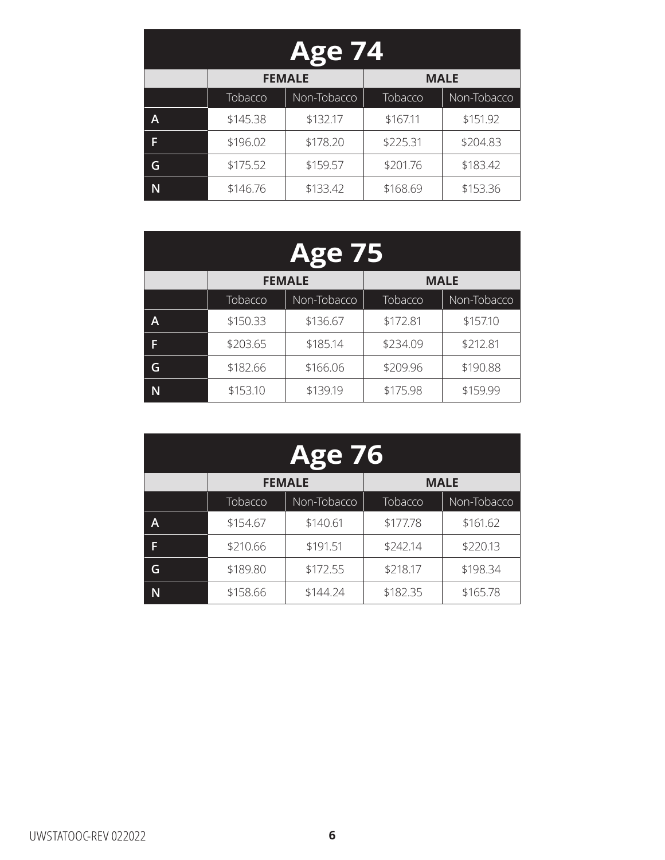| <b>Age 74</b> |                              |             |          |             |  |  |
|---------------|------------------------------|-------------|----------|-------------|--|--|
|               | <b>FEMALE</b><br><b>MALE</b> |             |          |             |  |  |
|               | Tobacco                      | Non-Tobacco | Tobacco  | Non-Tobacco |  |  |
| A             | \$145.38                     | \$132.17    | \$167.11 | \$151.92    |  |  |
| F             | \$196.02                     | \$178.20    | \$225.31 | \$204.83    |  |  |
| G             | \$175.52                     | \$159.57    | \$201.76 | \$183.42    |  |  |
|               | \$146.76                     | \$133.42    | \$168.69 | \$153.36    |  |  |

| <b>Age 75</b> |          |                              |          |             |  |  |
|---------------|----------|------------------------------|----------|-------------|--|--|
|               |          | <b>FEMALE</b><br><b>MALE</b> |          |             |  |  |
|               | Tobacco  | Non-Tobacco                  | Tobacco  | Non-Tobacco |  |  |
| A             | \$150.33 | \$136.67                     | \$172.81 | \$157.10    |  |  |
| F             | \$203.65 | \$185.14                     | \$234.09 | \$212.81    |  |  |
| G             | \$182.66 | \$166.06                     | \$209.96 | \$190.88    |  |  |
| N             | \$153.10 | \$139.19                     | \$175.98 | \$159.99    |  |  |

| <b>Age 76</b> |                              |             |          |             |  |
|---------------|------------------------------|-------------|----------|-------------|--|
|               | <b>MALE</b><br><b>FEMALE</b> |             |          |             |  |
|               | Tobacco                      | Non-Tobacco | Tobacco  | Non-Tobacco |  |
| A             | \$154.67                     | \$140.61    | \$177.78 | \$161.62    |  |
| F             | \$210.66                     | \$191.51    | \$242.14 | \$220.13    |  |
| G             | \$189.80                     | \$172.55    | \$218.17 | \$198.34    |  |
|               | \$158.66                     | \$144.24    | \$182.35 | \$165.78    |  |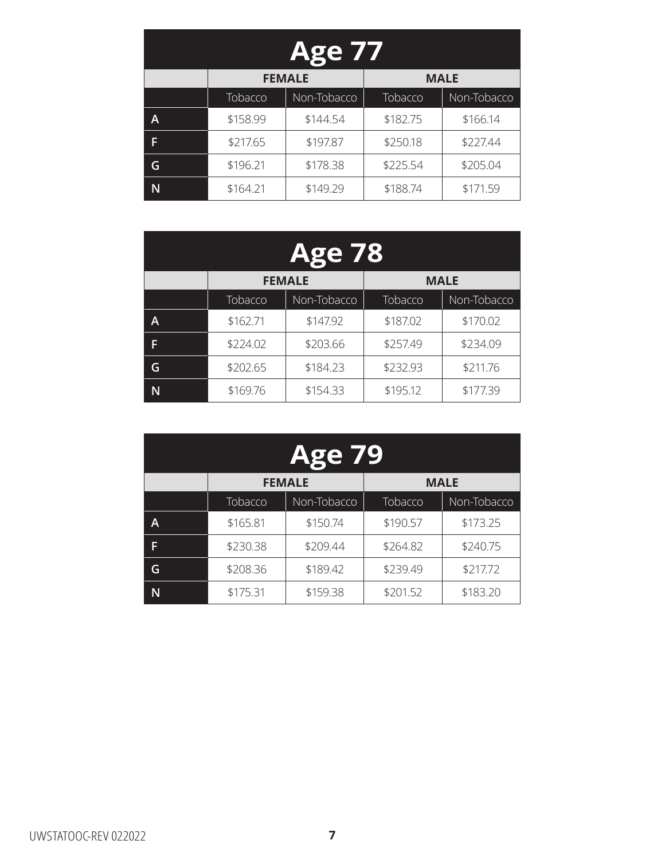| <b>Age 77</b> |                              |             |          |             |
|---------------|------------------------------|-------------|----------|-------------|
|               | <b>MALE</b><br><b>FEMALE</b> |             |          |             |
|               | Tobacco                      | Non-Tobacco | Tobacco  | Non-Tobacco |
| A             | \$158.99                     | \$144.54    | \$182.75 | \$166.14    |
| F             | \$217.65                     | \$197.87    | \$250.18 | \$227.44    |
| G             | \$196.21                     | \$178.38    | \$225.54 | \$205.04    |
|               | \$164.21                     | \$149.29    | \$188.74 | \$171.59    |

| <b>Age 78</b> |                              |             |          |             |
|---------------|------------------------------|-------------|----------|-------------|
|               | <b>FEMALE</b><br><b>MALE</b> |             |          |             |
|               | Tobacco                      | Non-Tobacco | Tobacco  | Non-Tobacco |
| A             | \$162.71                     | \$147.92    | \$187.02 | \$170.02    |
| F             | \$224.02                     | \$203.66    | \$257.49 | \$234.09    |
| G             | \$202.65                     | \$184.23    | \$232.93 | \$211.76    |
| N             | \$169.76                     | \$154.33    | \$195.12 | \$177.39    |

| <b>Age 79</b> |                              |             |          |             |  |
|---------------|------------------------------|-------------|----------|-------------|--|
|               | <b>MALE</b><br><b>FEMALE</b> |             |          |             |  |
|               | Tobacco                      | Non-Tobacco | Tobacco  | Non-Tobacco |  |
| A             | \$165.81                     | \$150.74    | \$190.57 | \$173.25    |  |
| F             | \$230.38                     | \$209.44    | \$264.82 | \$240.75    |  |
| G             | \$208.36                     | \$189.42    | \$239.49 | \$217.72    |  |
|               | \$175.31                     | \$159.38    | \$201.52 | \$183.20    |  |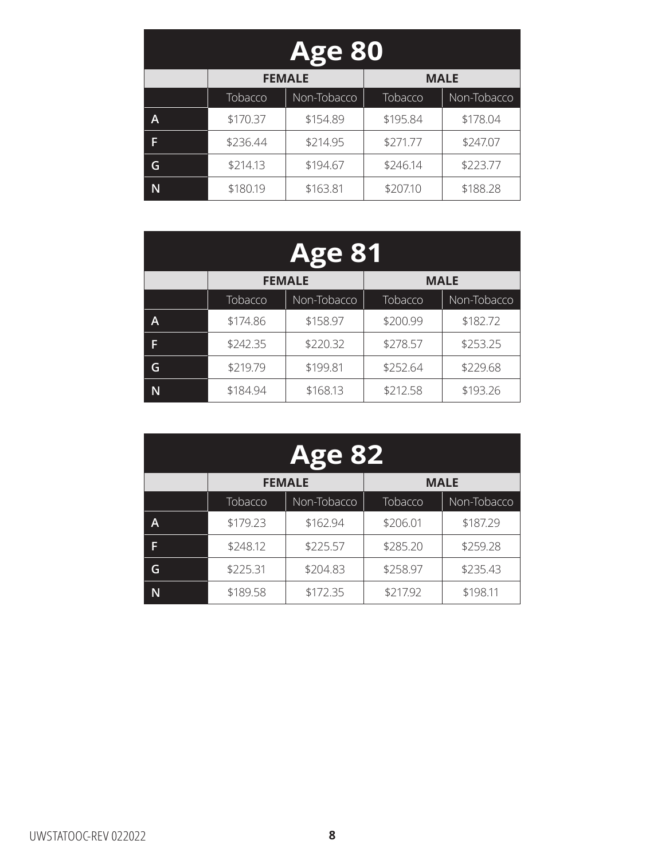| <b>Age 80</b> |                              |             |          |             |  |
|---------------|------------------------------|-------------|----------|-------------|--|
|               | <b>FEMALE</b><br><b>MALE</b> |             |          |             |  |
|               | Tobacco                      | Non-Tobacco | Tobacco  | Non-Tobacco |  |
| A             | \$170.37                     | \$154.89    | \$195.84 | \$178.04    |  |
| F             | \$236.44                     | \$214.95    | \$271.77 | \$247.07    |  |
| G             | \$214.13                     | \$194.67    | \$246.14 | \$223.77    |  |
|               | \$180.19                     | \$163.81    | \$207.10 | \$188.28    |  |

| <b>Age 81</b> |                              |             |          |             |
|---------------|------------------------------|-------------|----------|-------------|
|               | <b>FEMALE</b><br><b>MALE</b> |             |          |             |
|               | Tobacco                      | Non-Tobacco | Tobacco  | Non-Tobacco |
| A             | \$174.86                     | \$158.97    | \$200.99 | \$182.72    |
| F             | \$242.35                     | \$220.32    | \$278.57 | \$253.25    |
| G             | \$219.79                     | \$199.81    | \$252.64 | \$229.68    |
| N             | \$184.94                     | \$168.13    | \$212.58 | \$193.26    |

| <b>Age 82</b> |                              |             |          |             |  |
|---------------|------------------------------|-------------|----------|-------------|--|
|               | <b>FEMALE</b><br><b>MALE</b> |             |          |             |  |
|               | Tobacco                      | Non-Tobacco | Tobacco  | Non-Tobacco |  |
| A             | \$179.23                     | \$162.94    | \$206.01 | \$187.29    |  |
| F             | \$248.12                     | \$225.57    | \$285.20 | \$259.28    |  |
| G             | \$225.31                     | \$204.83    | \$258.97 | \$235.43    |  |
|               | \$189.58                     | \$172.35    | \$217.92 | \$198.11    |  |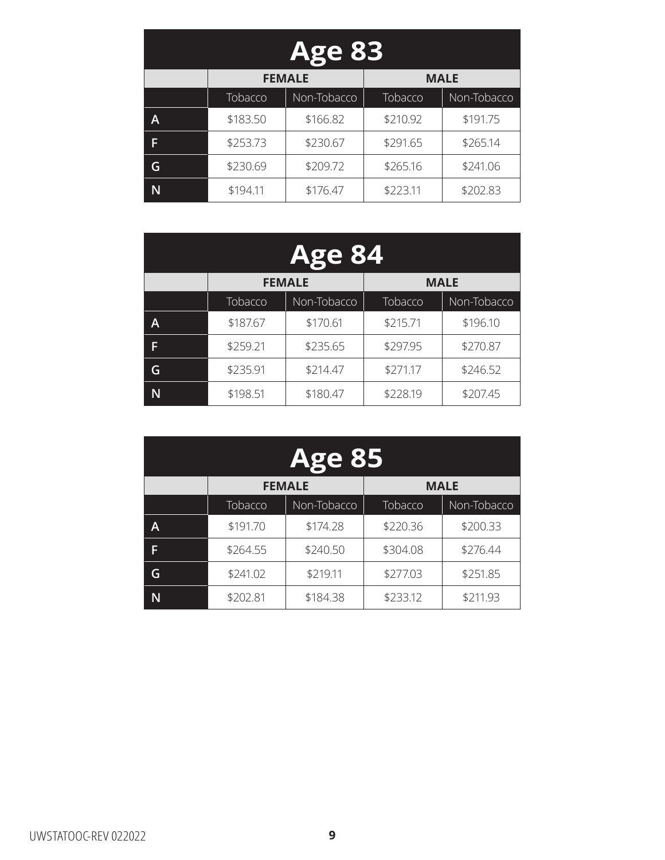| <b>Age 83</b> |                              |             |          |             |
|---------------|------------------------------|-------------|----------|-------------|
|               | <b>FEMALE</b><br><b>MALE</b> |             |          |             |
|               | Tobacco                      | Non-Tobacco | Tobacco  | Non-Tobacco |
| A             | \$183.50                     | \$166.82    | \$210.92 | \$191.75    |
| F             | \$253.73                     | \$230.67    | \$291.65 | \$265.14    |
|               | \$230.69                     | \$209.72    | \$265.16 | \$241.06    |
|               | \$194.11                     | \$176.47    | \$223.11 | \$202.83    |

| <b>Age 84</b> |                              |             |          |             |
|---------------|------------------------------|-------------|----------|-------------|
|               | <b>MALE</b><br><b>FEMALE</b> |             |          |             |
|               | Tobacco                      | Non-Tobacco | Tobacco  | Non-Tobacco |
| A             | \$187.67                     | \$170.61    | \$215.71 | \$196.10    |
| F             | \$259.21                     | \$235.65    | \$297.95 | \$270.87    |
| G             | \$235.91                     | \$214.47    | \$271.17 | \$246.52    |
|               | \$198.51                     | \$180.47    | \$228.19 | \$207.45    |

| <b>Age 85</b> |                              |             |          |             |
|---------------|------------------------------|-------------|----------|-------------|
|               | <b>MALE</b><br><b>FEMALE</b> |             |          |             |
|               | Tobacco                      | Non-Tobacco | Tobacco  | Non-Tobacco |
| A             | \$191.70                     | \$174.28    | \$220.36 | \$200.33    |
| F             | \$264.55                     | \$240.50    | \$304.08 | \$276.44    |
| G             | \$241.02                     | \$219.11    | \$277.03 | \$251.85    |
|               | \$202.81                     | \$184.38    | \$233.12 | \$211.93    |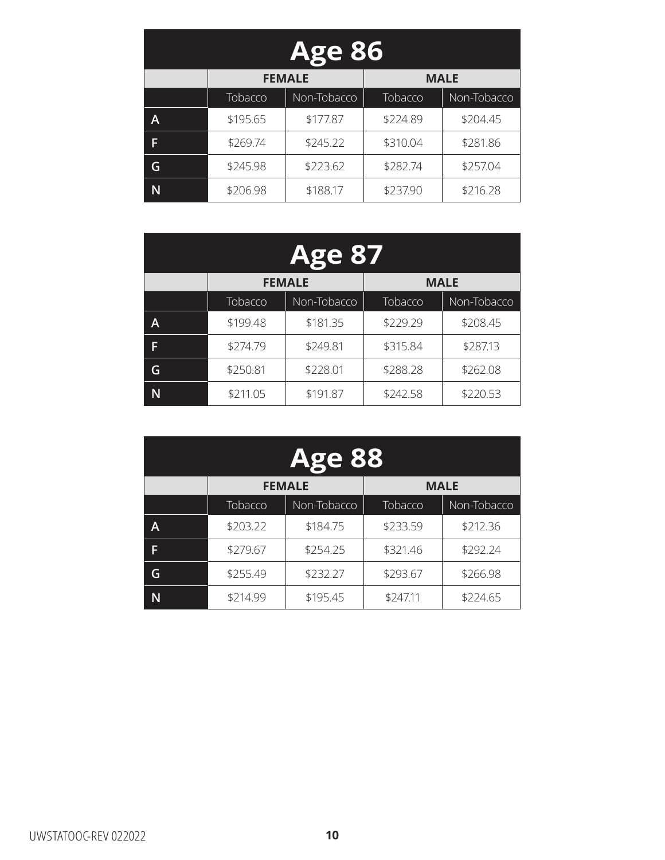| <b>Age 86</b> |                              |             |          |             |
|---------------|------------------------------|-------------|----------|-------------|
|               | <b>FEMALE</b><br><b>MALE</b> |             |          |             |
|               | Tobacco                      | Non-Tobacco | Tobacco  | Non-Tobacco |
| A             | \$195.65                     | \$177.87    | \$224.89 | \$204.45    |
| F             | \$269.74                     | \$245.22    | \$310.04 | \$281.86    |
| G             | \$245.98                     | \$223.62    | \$282.74 | \$257.04    |
|               | \$206.98                     | \$188.17    | \$237.90 | \$216.28    |

| <b>Age 87</b> |                              |             |          |             |
|---------------|------------------------------|-------------|----------|-------------|
|               | <b>MALE</b><br><b>FEMALE</b> |             |          |             |
|               | Tobacco                      | Non-Tobacco | Tobacco  | Non-Tobacco |
| A             | \$199.48                     | \$181.35    | \$229.29 | \$208.45    |
| F             | \$274.79                     | \$249.81    | \$315.84 | \$287.13    |
| G             | \$250.81                     | \$228.01    | \$288.28 | \$262.08    |
|               | \$211.05                     | \$191.87    | \$242.58 | \$220.53    |

| <b>Age 88</b> |                              |             |          |             |  |
|---------------|------------------------------|-------------|----------|-------------|--|
|               | <b>FEMALE</b><br><b>MALE</b> |             |          |             |  |
|               | Tobacco                      | Non-Tobacco | Tobacco  | Non-Tobacco |  |
| A             | \$203.22                     | \$184.75    | \$233.59 | \$212.36    |  |
| F             | \$279.67                     | \$254.25    | \$321.46 | \$292.24    |  |
| G             | \$255.49                     | \$232.27    | \$293.67 | \$266.98    |  |
|               | \$214.99                     | \$195.45    | \$247.11 | \$224.65    |  |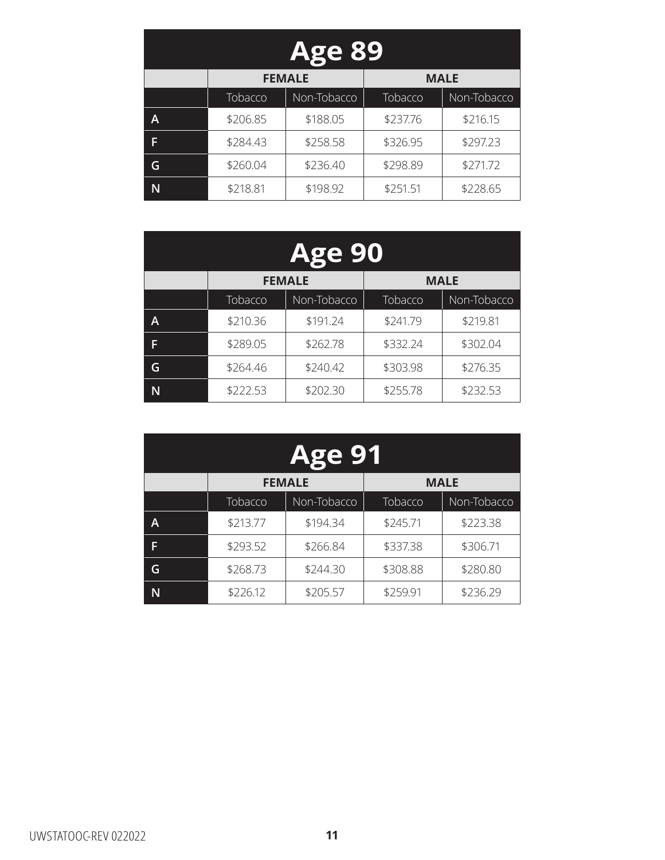| <b>Age 89</b> |                              |             |          |             |  |
|---------------|------------------------------|-------------|----------|-------------|--|
|               | <b>FEMALE</b><br><b>MALE</b> |             |          |             |  |
|               | Tobacco                      | Non-Tobacco | Tobacco  | Non-Tobacco |  |
| A             | \$206.85                     | \$188.05    | \$237.76 | \$216.15    |  |
| F             | \$284.43                     | \$258.58    | \$326.95 | \$297.23    |  |
| G             | \$260.04                     | \$236.40    | \$298.89 | \$271.72    |  |
|               | \$218.81                     | \$198.92    | \$251.51 | \$228.65    |  |

| <b>Age 90</b> |                              |             |          |             |  |
|---------------|------------------------------|-------------|----------|-------------|--|
|               | <b>FEMALE</b><br><b>MALE</b> |             |          |             |  |
|               | Tobacco                      | Non-Tobacco | Tobacco  | Non-Tobacco |  |
| A             | \$210.36                     | \$191.24    | \$241.79 | \$219.81    |  |
| F             | \$289.05                     | \$262.78    | \$332.24 | \$302.04    |  |
| G             | \$264.46                     | \$240.42    | \$303.98 | \$276.35    |  |
| N             | \$222.53                     | \$202.30    | \$255.78 | \$232.53    |  |

| <b>Age 91</b> |                              |             |          |             |  |
|---------------|------------------------------|-------------|----------|-------------|--|
|               | <b>MALE</b><br><b>FEMALE</b> |             |          |             |  |
|               | Tobacco                      | Non-Tobacco | Tobacco  | Non-Tobacco |  |
| A             | \$213.77                     | \$194.34    | \$245.71 | \$223.38    |  |
| F             | \$293.52                     | \$266.84    | \$337.38 | \$306.71    |  |
| G             | \$268.73                     | \$244.30    | \$308.88 | \$280.80    |  |
|               | \$226.12                     | \$205.57    | \$259.91 | \$236.29    |  |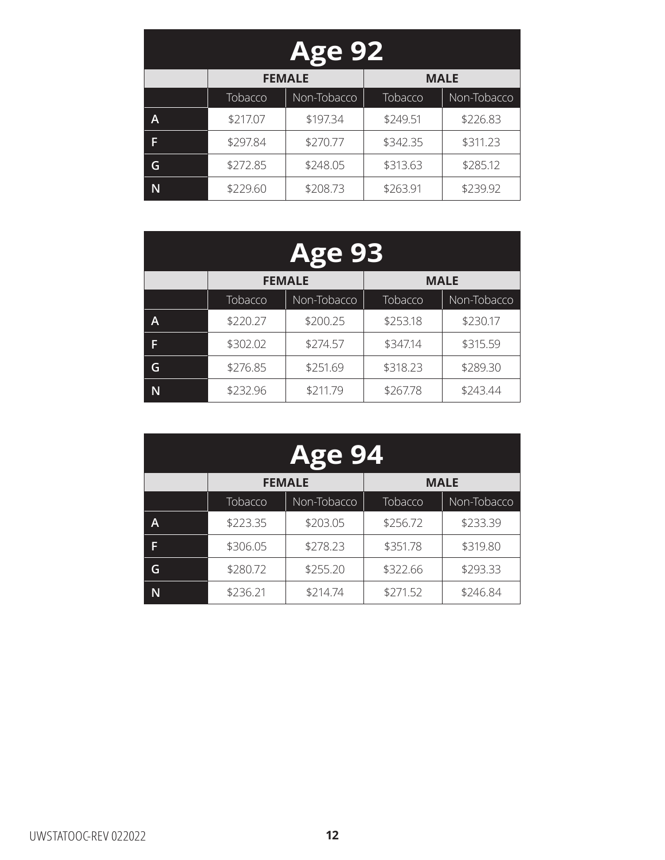| <b>Age 92</b> |                              |             |          |             |  |
|---------------|------------------------------|-------------|----------|-------------|--|
|               | <b>FEMALE</b><br><b>MALE</b> |             |          |             |  |
|               | Tobacco                      | Non-Tobacco | Tobacco  | Non-Tobacco |  |
| A             | \$217.07                     | \$197.34    | \$249.51 | \$226.83    |  |
| F             | \$297.84                     | \$270.77    | \$342.35 | \$311.23    |  |
| G             | \$272.85                     | \$248.05    | \$313.63 | \$285.12    |  |
|               | \$229.60                     | \$208.73    | \$263.91 | \$239.92    |  |

| <b>Age 93</b> |                              |             |          |             |  |
|---------------|------------------------------|-------------|----------|-------------|--|
|               | <b>FEMALE</b><br><b>MALE</b> |             |          |             |  |
|               | Tobacco                      | Non-Tobacco | Tobacco  | Non-Tobacco |  |
| A             | \$220.27                     | \$200.25    | \$253.18 | \$230.17    |  |
| F             | \$302.02                     | \$274.57    | \$347.14 | \$315.59    |  |
| G             | \$276.85                     | \$251.69    | \$318.23 | \$289.30    |  |
| N             | \$232.96                     | \$211.79    | \$267.78 | \$243.44    |  |

| <b>Age 94</b> |                              |             |          |             |  |
|---------------|------------------------------|-------------|----------|-------------|--|
|               | <b>MALE</b><br><b>FEMALE</b> |             |          |             |  |
|               | Tobacco                      | Non-Tobacco | Tobacco  | Non-Tobacco |  |
| A             | \$223.35                     | \$203.05    | \$256.72 | \$233.39    |  |
| F             | \$306.05                     | \$278.23    | \$351.78 | \$319.80    |  |
| G             | \$280.72                     | \$255.20    | \$322.66 | \$293.33    |  |
|               | \$236.21                     | \$214.74    | \$271.52 | \$246.84    |  |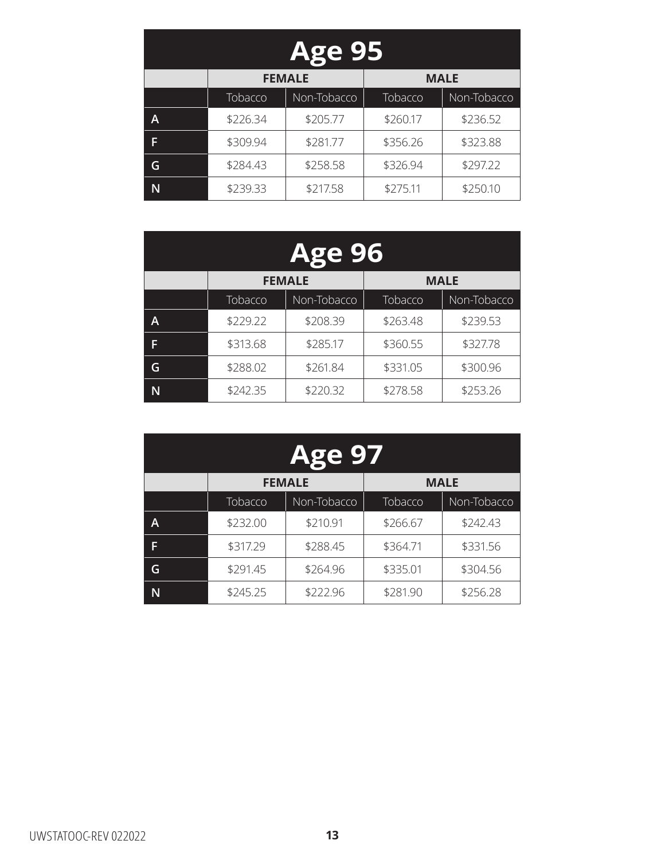| <b>Age 95</b> |                              |             |          |             |  |
|---------------|------------------------------|-------------|----------|-------------|--|
|               | <b>MALE</b><br><b>FEMALE</b> |             |          |             |  |
|               | Tobacco                      | Non-Tobacco | Tobacco  | Non-Tobacco |  |
| A             | \$226.34                     | \$205.77    | \$260.17 | \$236.52    |  |
| F             | \$309.94                     | \$281.77    | \$356.26 | \$323.88    |  |
| G             | \$284.43                     | \$258.58    | \$326.94 | \$297.22    |  |
|               | \$239.33                     | \$217.58    | \$275.11 | \$250.10    |  |

| <b>Age 96</b> |                              |             |          |             |
|---------------|------------------------------|-------------|----------|-------------|
|               | <b>FEMALE</b><br><b>MALE</b> |             |          |             |
|               | Tobacco                      | Non-Tobacco | Tobacco  | Non-Tobacco |
| A             | \$229.22                     | \$208.39    | \$263.48 | \$239.53    |
| F             | \$313.68                     | \$285.17    | \$360.55 | \$327.78    |
| G             | \$288.02                     | \$261.84    | \$331.05 | \$300.96    |
| N             | \$242.35                     | \$220.32    | \$278.58 | \$253.26    |

| <b>Age 97</b> |                              |             |          |             |  |
|---------------|------------------------------|-------------|----------|-------------|--|
|               | <b>FEMALE</b><br><b>MALE</b> |             |          |             |  |
|               | Tobacco                      | Non-Tobacco | Tobacco  | Non-Tobacco |  |
| A             | \$232.00                     | \$210.91    | \$266.67 | \$242.43    |  |
| F             | \$317.29                     | \$288.45    | \$364.71 | \$331.56    |  |
| G             | \$291.45                     | \$264.96    | \$335.01 | \$304.56    |  |
|               | \$245.25                     | \$222.96    | \$281.90 | \$256.28    |  |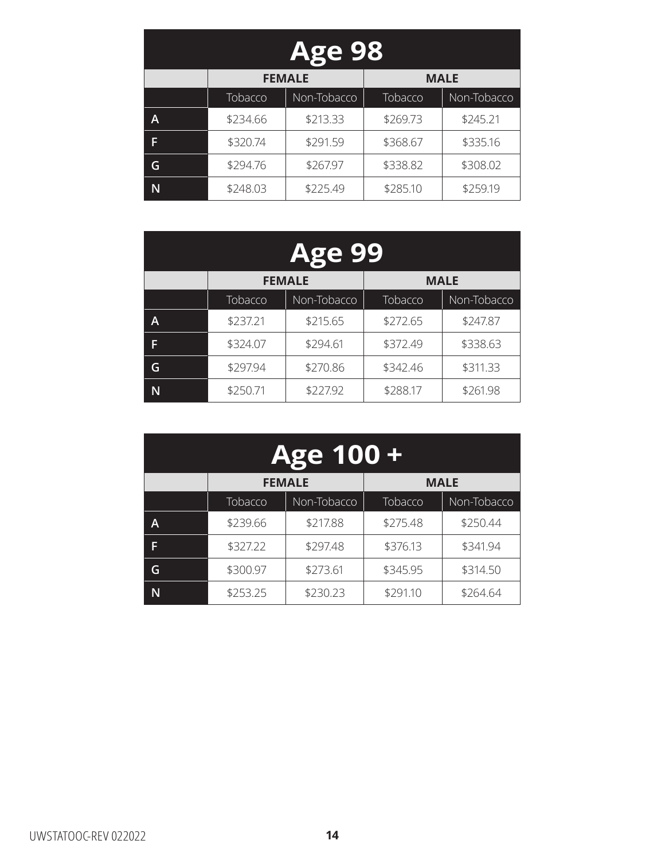| <b>Age 98</b> |                              |             |          |             |  |
|---------------|------------------------------|-------------|----------|-------------|--|
|               | <b>FEMALE</b><br><b>MALE</b> |             |          |             |  |
|               | Tobacco                      | Non-Tobacco | Tobacco  | Non-Tobacco |  |
| A             | \$234.66                     | \$213.33    | \$269.73 | \$245.21    |  |
| F             | \$320.74                     | \$291.59    | \$368.67 | \$335.16    |  |
| G             | \$294.76                     | \$267.97    | \$338.82 | \$308.02    |  |
|               | \$248.03                     | \$225.49    | \$285.10 | \$259.19    |  |

| <b>Age 99</b> |                              |             |          |             |  |
|---------------|------------------------------|-------------|----------|-------------|--|
|               | <b>FEMALE</b><br><b>MALE</b> |             |          |             |  |
|               | Tobacco                      | Non-Tobacco | Tobacco  | Non-Tobacco |  |
| A             | \$237.21                     | \$215.65    | \$272.65 | \$247.87    |  |
| F             | \$324.07                     | \$294.61    | \$372.49 | \$338.63    |  |
| G             | \$297.94                     | \$270.86    | \$342.46 | \$311.33    |  |
| N             | \$250.71                     | \$227.92    | \$288.17 | \$261.98    |  |

| <b>Age 100+</b> |                              |             |          |             |
|-----------------|------------------------------|-------------|----------|-------------|
|                 | <b>MALE</b><br><b>FEMALE</b> |             |          |             |
|                 | Tobacco                      | Non-Tobacco | Tobacco  | Non-Tobacco |
| A               | \$239.66                     | \$217.88    | \$275.48 | \$250.44    |
| F               | \$327.22                     | \$297.48    | \$376.13 | \$341.94    |
| G               | \$300.97                     | \$273.61    | \$345.95 | \$314.50    |
|                 | \$253.25                     | \$230.23    | \$291.10 | \$264.64    |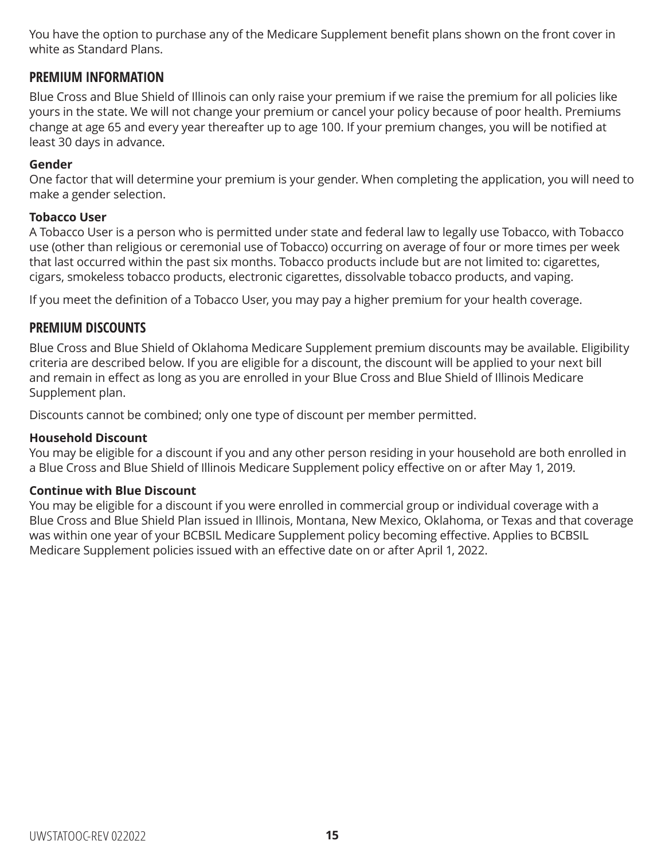You have the option to purchase any of the Medicare Supplement benefit plans shown on the front cover in white as Standard Plans.

#### **PREMIUM INFORMATION**

Blue Cross and Blue Shield of Illinois can only raise your premium if we raise the premium for all policies like yours in the state. We will not change your premium or cancel your policy because of poor health. Premiums change at age 65 and every year thereafter up to age 100. If your premium changes, you will be notified at least 30 days in advance.

#### **Gender**

One factor that will determine your premium is your gender. When completing the application, you will need to make a gender selection.

#### **Tobacco User**

A Tobacco User is a person who is permitted under state and federal law to legally use Tobacco, with Tobacco use (other than religious or ceremonial use of Tobacco) occurring on average of four or more times per week that last occurred within the past six months. Tobacco products include but are not limited to: cigarettes, cigars, smokeless tobacco products, electronic cigarettes, dissolvable tobacco products, and vaping.

If you meet the definition of a Tobacco User, you may pay a higher premium for your health coverage.

### **PREMIUM DISCOUNTS**

Blue Cross and Blue Shield of Oklahoma Medicare Supplement premium discounts may be available. Eligibility criteria are described below. If you are eligible for a discount, the discount will be applied to your next bill and remain in effect as long as you are enrolled in your Blue Cross and Blue Shield of Illinois Medicare Supplement plan.

Discounts cannot be combined; only one type of discount per member permitted.

#### **Household Discount**

You may be eligible for a discount if you and any other person residing in your household are both enrolled in a Blue Cross and Blue Shield of Illinois Medicare Supplement policy effective on or after May 1, 2019.

#### **Continue with Blue Discount**

You may be eligible for a discount if you were enrolled in commercial group or individual coverage with a Blue Cross and Blue Shield Plan issued in Illinois, Montana, New Mexico, Oklahoma, or Texas and that coverage was within one year of your BCBSIL Medicare Supplement policy becoming effective. Applies to BCBSIL Medicare Supplement policies issued with an effective date on or after April 1, 2022.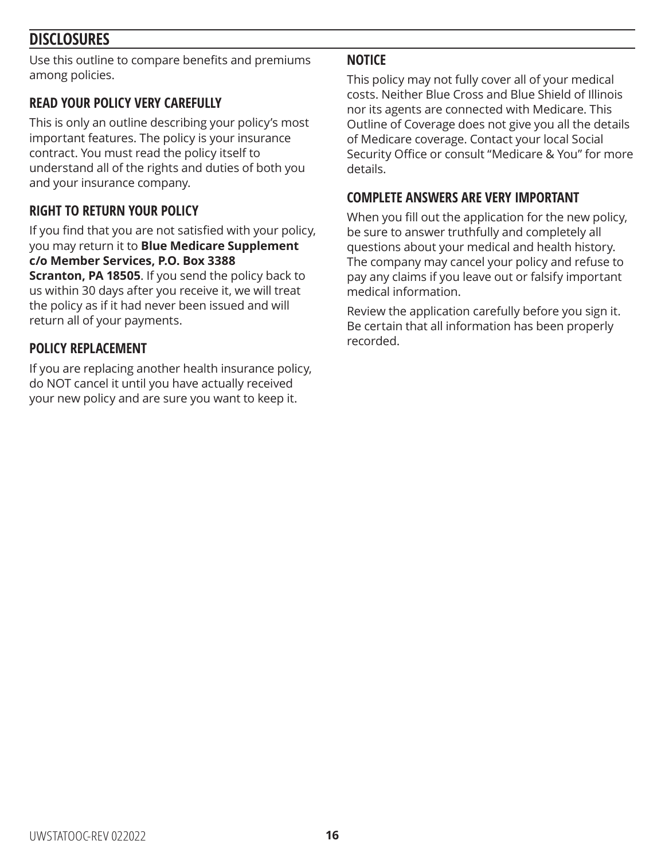### **DISCLOSURES**

Use this outline to compare benefits and premiums among policies.

### **READ YOUR POLICY VERY CAREFULLY**

This is only an outline describing your policy's most important features. The policy is your insurance contract. You must read the policy itself to understand all of the rights and duties of both you and your insurance company.

### **RIGHT TO RETURN YOUR POLICY**

If you find that you are not satisfied with your policy, you may return it to **Blue Medicare Supplement c/o Member Services, P.O. Box 3388** 

**Scranton, PA 18505**. If you send the policy back to us within 30 days after you receive it, we will treat the policy as if it had never been issued and will return all of your payments.

### **POLICY REPLACEMENT**

If you are replacing another health insurance policy, do NOT cancel it until you have actually received your new policy and are sure you want to keep it.

### **NOTICE**

This policy may not fully cover all of your medical costs. Neither Blue Cross and Blue Shield of Illinois nor its agents are connected with Medicare. This Outline of Coverage does not give you all the details of Medicare coverage. Contact your local Social Security Office or consult "Medicare & You" for more details.

### **COMPLETE ANSWERS ARE VERY IMPORTANT**

When you fill out the application for the new policy, be sure to answer truthfully and completely all questions about your medical and health history. The company may cancel your policy and refuse to pay any claims if you leave out or falsify important medical information.

Review the application carefully before you sign it. Be certain that all information has been properly recorded.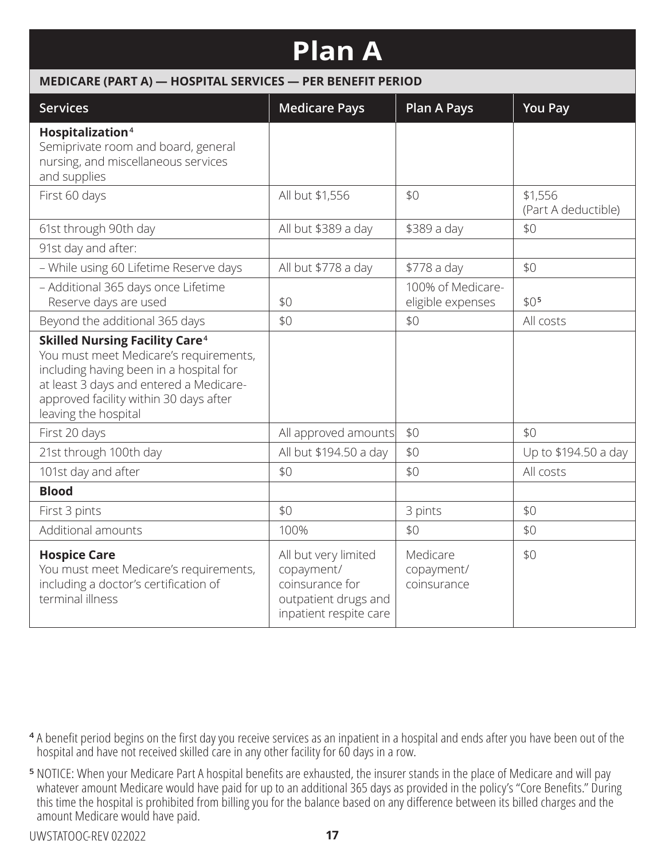# **Plan A**

#### **MEDICARE (PART A) — HOSPITAL SERVICES — PER BENEFIT PERIOD**

| <b>Services</b>                                                                                                                                                                                                                                    | <b>Medicare Pays</b>                                                                                    | <b>Plan A Pays</b>                     | <b>You Pay</b>                 |
|----------------------------------------------------------------------------------------------------------------------------------------------------------------------------------------------------------------------------------------------------|---------------------------------------------------------------------------------------------------------|----------------------------------------|--------------------------------|
| Hospitalization <sup>4</sup><br>Semiprivate room and board, general<br>nursing, and miscellaneous services<br>and supplies                                                                                                                         |                                                                                                         |                                        |                                |
| First 60 days                                                                                                                                                                                                                                      | All but \$1,556                                                                                         | \$0                                    | \$1,556<br>(Part A deductible) |
| 61st through 90th day                                                                                                                                                                                                                              | All but \$389 a day                                                                                     | \$389 a day                            | \$0                            |
| 91st day and after:                                                                                                                                                                                                                                |                                                                                                         |                                        |                                |
| - While using 60 Lifetime Reserve days                                                                                                                                                                                                             | All but \$778 a day                                                                                     | \$778 a day                            | \$0                            |
| - Additional 365 days once Lifetime<br>Reserve days are used                                                                                                                                                                                       | \$0                                                                                                     | 100% of Medicare-<br>eligible expenses | \$0 <sub>5</sub>               |
| Beyond the additional 365 days                                                                                                                                                                                                                     | \$0                                                                                                     | \$0                                    | All costs                      |
| <b>Skilled Nursing Facility Care<sup>4</sup></b><br>You must meet Medicare's requirements,<br>including having been in a hospital for<br>at least 3 days and entered a Medicare-<br>approved facility within 30 days after<br>leaving the hospital |                                                                                                         |                                        |                                |
| First 20 days                                                                                                                                                                                                                                      | All approved amounts                                                                                    | \$0                                    | \$0                            |
| 21st through 100th day                                                                                                                                                                                                                             | All but \$194.50 a day                                                                                  | \$0                                    | Up to \$194.50 a day           |
| 101st day and after                                                                                                                                                                                                                                | \$0                                                                                                     | \$0                                    | All costs                      |
| <b>Blood</b>                                                                                                                                                                                                                                       |                                                                                                         |                                        |                                |
| First 3 pints                                                                                                                                                                                                                                      | \$0                                                                                                     | 3 pints                                | \$0                            |
| Additional amounts                                                                                                                                                                                                                                 | 100%                                                                                                    | \$0                                    | \$0                            |
| <b>Hospice Care</b><br>You must meet Medicare's requirements,<br>including a doctor's certification of<br>terminal illness                                                                                                                         | All but very limited<br>copayment/<br>coinsurance for<br>outpatient drugs and<br>inpatient respite care | Medicare<br>copayment/<br>coinsurance  | \$0                            |

- **<sup>4</sup>** A benefit period begins on the first day you receive services as an inpatient in a hospital and ends after you have been out of the hospital and have not received skilled care in any other facility for 60 days in a row.
- **<sup>5</sup>** NOTICE: When your Medicare Part A hospital benefits are exhausted, the insurer stands in the place of Medicare and will pay whatever amount Medicare would have paid for up to an additional 365 days as provided in the policy's "Core Benefits." During this time the hospital is prohibited from billing you for the balance based on any difference between its billed charges and the amount Medicare would have paid.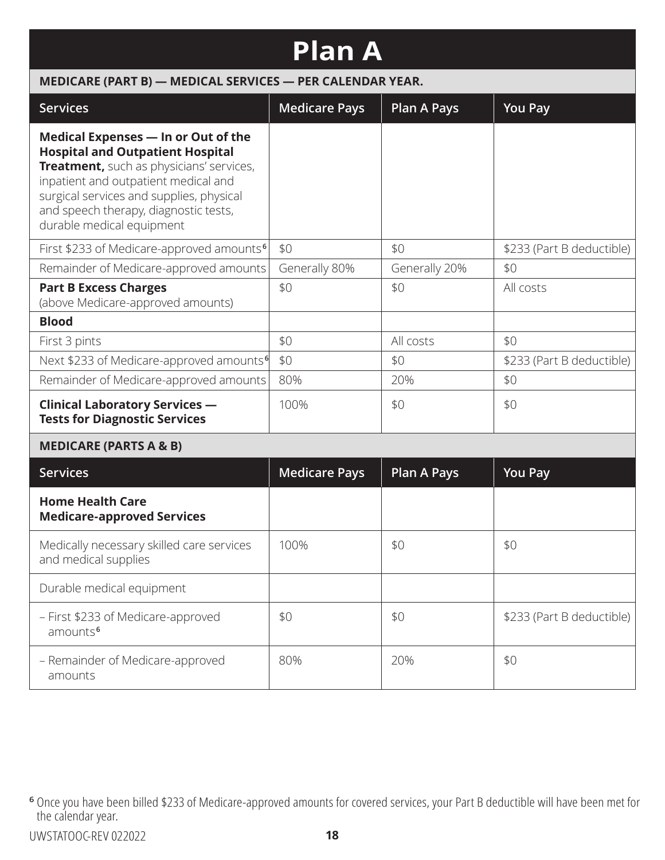| <b>Plan A</b>                                                                                                                                                                                                                                                                        |                                                           |                    |                           |  |  |
|--------------------------------------------------------------------------------------------------------------------------------------------------------------------------------------------------------------------------------------------------------------------------------------|-----------------------------------------------------------|--------------------|---------------------------|--|--|
|                                                                                                                                                                                                                                                                                      | MEDICARE (PART B) - MEDICAL SERVICES - PER CALENDAR YEAR. |                    |                           |  |  |
| <b>Services</b>                                                                                                                                                                                                                                                                      | <b>Medicare Pays</b>                                      | <b>Plan A Pays</b> | <b>You Pay</b>            |  |  |
| Medical Expenses - In or Out of the<br><b>Hospital and Outpatient Hospital</b><br>Treatment, such as physicians' services,<br>inpatient and outpatient medical and<br>surgical services and supplies, physical<br>and speech therapy, diagnostic tests,<br>durable medical equipment |                                                           |                    |                           |  |  |
| First \$233 of Medicare-approved amounts <sup>6</sup>                                                                                                                                                                                                                                | \$0                                                       | \$0                | \$233 (Part B deductible) |  |  |
| Remainder of Medicare-approved amounts                                                                                                                                                                                                                                               | Generally 80%                                             | Generally 20%      | \$0                       |  |  |
| <b>Part B Excess Charges</b><br>(above Medicare-approved amounts)                                                                                                                                                                                                                    | \$0                                                       | \$0                | All costs                 |  |  |
| <b>Blood</b>                                                                                                                                                                                                                                                                         |                                                           |                    |                           |  |  |
| First 3 pints                                                                                                                                                                                                                                                                        | \$0                                                       | All costs          | \$0                       |  |  |
| Next \$233 of Medicare-approved amounts <sup>6</sup>                                                                                                                                                                                                                                 | \$0                                                       | \$0                | \$233 (Part B deductible) |  |  |
| Remainder of Medicare-approved amounts                                                                                                                                                                                                                                               | 80%                                                       | 20%                | \$0                       |  |  |
| <b>Clinical Laboratory Services -</b><br><b>Tests for Diagnostic Services</b>                                                                                                                                                                                                        | 100%                                                      | \$0                | \$0                       |  |  |
| <b>MEDICARE (PARTS A &amp; B)</b>                                                                                                                                                                                                                                                    |                                                           |                    |                           |  |  |
| <b>Services</b>                                                                                                                                                                                                                                                                      | <b>Medicare Pays</b>                                      | <b>Plan A Pays</b> | <b>You Pay</b>            |  |  |
| <b>Home Health Care</b><br><b>Medicare-approved Services</b>                                                                                                                                                                                                                         |                                                           |                    |                           |  |  |
| Medically necessary skilled care services<br>and medical supplies                                                                                                                                                                                                                    | 100%                                                      | \$0                | \$0                       |  |  |
| Durable medical equipment                                                                                                                                                                                                                                                            |                                                           |                    |                           |  |  |

\$0 \$233 (Part B deductible)

80% | 20% | \$0

amounts **<sup>6</sup>**

amounts

– First \$233 of Medicare-approved

– Remainder of Medicare-approved

**<sup>6</sup>** Once you have been billed \$233 of Medicare-approved amounts for covered services, your Part B deductible will have been met for the calendar year.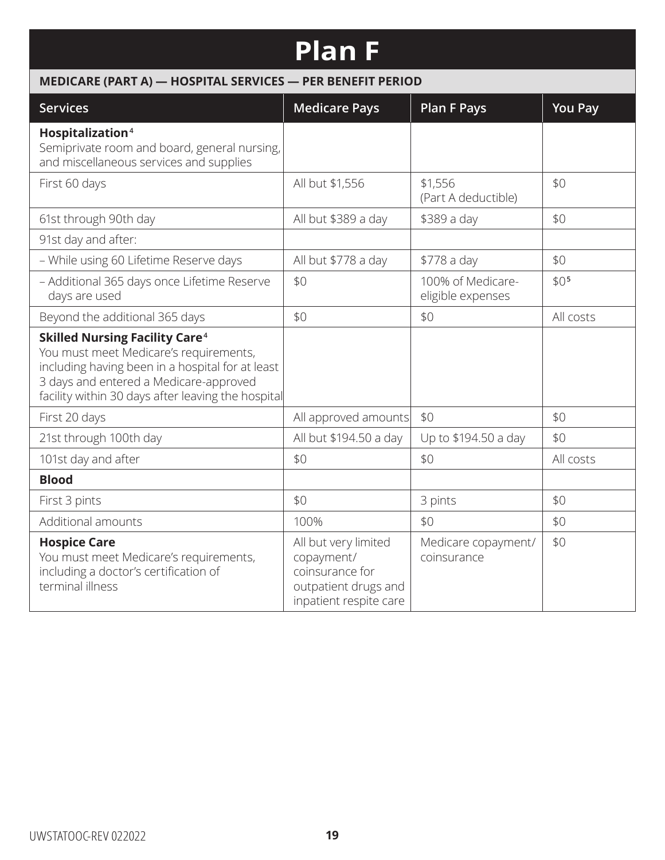# **Plan F**

### **MEDICARE (PART A) — HOSPITAL SERVICES — PER BENEFIT PERIOD**

| <b>Services</b>                                                                                                                                                                                                                                | <b>Medicare Pays</b>                                                                                    | <b>Plan F Pays</b>                     | <b>You Pay</b>   |
|------------------------------------------------------------------------------------------------------------------------------------------------------------------------------------------------------------------------------------------------|---------------------------------------------------------------------------------------------------------|----------------------------------------|------------------|
| Hospitalization <sup>4</sup><br>Semiprivate room and board, general nursing,<br>and miscellaneous services and supplies                                                                                                                        |                                                                                                         |                                        |                  |
| First 60 days                                                                                                                                                                                                                                  | All but \$1,556                                                                                         | \$1,556<br>(Part A deductible)         | \$0              |
| 61st through 90th day                                                                                                                                                                                                                          | All but \$389 a day                                                                                     | \$389 a day                            | \$0              |
| 91st day and after:                                                                                                                                                                                                                            |                                                                                                         |                                        |                  |
| - While using 60 Lifetime Reserve days                                                                                                                                                                                                         | All but \$778 a day                                                                                     | \$778 a day                            | \$0              |
| - Additional 365 days once Lifetime Reserve<br>days are used                                                                                                                                                                                   | \$0                                                                                                     | 100% of Medicare-<br>eligible expenses | \$0 <sub>5</sub> |
| Beyond the additional 365 days                                                                                                                                                                                                                 | \$0                                                                                                     | \$0                                    | All costs        |
| <b>Skilled Nursing Facility Care<sup>4</sup></b><br>You must meet Medicare's requirements,<br>including having been in a hospital for at least<br>3 days and entered a Medicare-approved<br>facility within 30 days after leaving the hospital |                                                                                                         |                                        |                  |
| First 20 days                                                                                                                                                                                                                                  | All approved amounts                                                                                    | \$0                                    | \$0              |
| 21st through 100th day                                                                                                                                                                                                                         | All but \$194.50 a day                                                                                  | Up to \$194.50 a day                   | \$0              |
| 101st day and after                                                                                                                                                                                                                            | \$0                                                                                                     | \$0                                    | All costs        |
| <b>Blood</b>                                                                                                                                                                                                                                   |                                                                                                         |                                        |                  |
| First 3 pints                                                                                                                                                                                                                                  | \$0                                                                                                     | 3 pints                                | \$0              |
| Additional amounts                                                                                                                                                                                                                             | 100%                                                                                                    | \$0                                    | \$0              |
| <b>Hospice Care</b><br>You must meet Medicare's requirements,<br>including a doctor's certification of<br>terminal illness                                                                                                                     | All but very limited<br>copayment/<br>coinsurance for<br>outpatient drugs and<br>inpatient respite care | Medicare copayment/<br>coinsurance     | \$0              |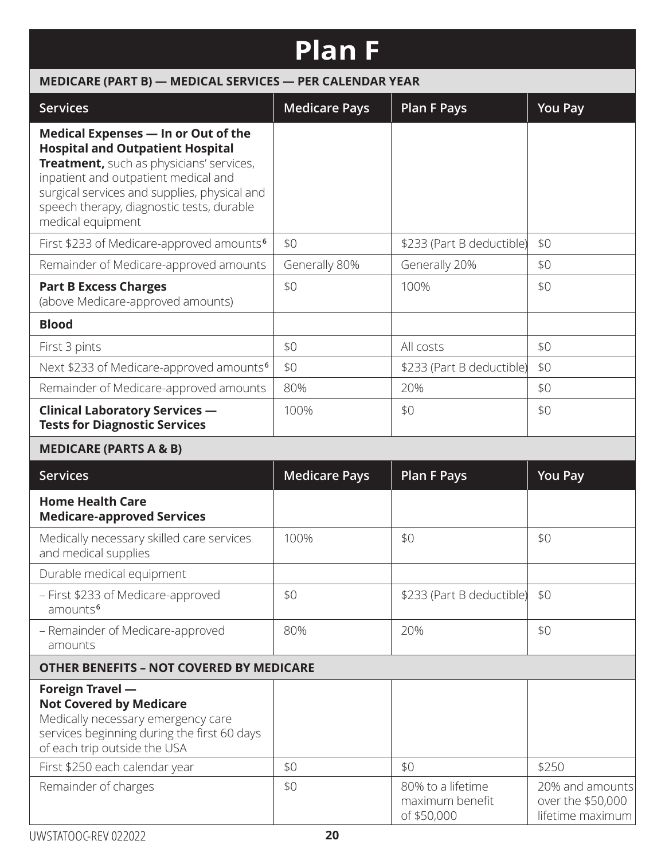# **Plan F**

| MEDICARE (PART B) - MEDICAL SERVICES - PER CALENDAR YEAR                                                                                                                                                                                                                             |                      |                                                     |                                                          |  |  |
|--------------------------------------------------------------------------------------------------------------------------------------------------------------------------------------------------------------------------------------------------------------------------------------|----------------------|-----------------------------------------------------|----------------------------------------------------------|--|--|
| <b>Services</b>                                                                                                                                                                                                                                                                      | <b>Medicare Pays</b> | <b>Plan F Pays</b>                                  | <b>You Pay</b>                                           |  |  |
| Medical Expenses - In or Out of the<br><b>Hospital and Outpatient Hospital</b><br>Treatment, such as physicians' services,<br>inpatient and outpatient medical and<br>surgical services and supplies, physical and<br>speech therapy, diagnostic tests, durable<br>medical equipment |                      |                                                     |                                                          |  |  |
| First \$233 of Medicare-approved amounts <sup>6</sup>                                                                                                                                                                                                                                | \$0                  | \$233 (Part B deductible)                           | \$0                                                      |  |  |
| Remainder of Medicare-approved amounts                                                                                                                                                                                                                                               | Generally 80%        | Generally 20%                                       | \$0                                                      |  |  |
| <b>Part B Excess Charges</b><br>(above Medicare-approved amounts)                                                                                                                                                                                                                    | \$0                  | 100%                                                | \$0                                                      |  |  |
| <b>Blood</b>                                                                                                                                                                                                                                                                         |                      |                                                     |                                                          |  |  |
| First 3 pints                                                                                                                                                                                                                                                                        | \$0                  | All costs                                           | \$0                                                      |  |  |
| Next \$233 of Medicare-approved amounts <sup>6</sup>                                                                                                                                                                                                                                 | \$0                  | \$233 (Part B deductible)                           | \$0                                                      |  |  |
| Remainder of Medicare-approved amounts                                                                                                                                                                                                                                               | 80%                  | 20%                                                 | \$0                                                      |  |  |
| <b>Clinical Laboratory Services -</b><br><b>Tests for Diagnostic Services</b>                                                                                                                                                                                                        | 100%                 | \$0                                                 | \$0                                                      |  |  |
| <b>MEDICARE (PARTS A &amp; B)</b>                                                                                                                                                                                                                                                    |                      |                                                     |                                                          |  |  |
| <b>Services</b>                                                                                                                                                                                                                                                                      | <b>Medicare Pays</b> | <b>Plan F Pays</b>                                  | <b>You Pay</b>                                           |  |  |
| <b>Home Health Care</b><br><b>Medicare-approved Services</b>                                                                                                                                                                                                                         |                      |                                                     |                                                          |  |  |
| Medically necessary skilled care services<br>and medical supplies                                                                                                                                                                                                                    | 100%                 | \$0                                                 | \$0                                                      |  |  |
| Durable medical equipment                                                                                                                                                                                                                                                            |                      |                                                     |                                                          |  |  |
| - First \$233 of Medicare-approved<br>amounts <sup>6</sup>                                                                                                                                                                                                                           | \$0                  | \$233 (Part B deductible)                           | \$0                                                      |  |  |
| - Remainder of Medicare-approved<br>amounts                                                                                                                                                                                                                                          | 80%                  | 20%                                                 | \$0                                                      |  |  |
| <b>OTHER BENEFITS - NOT COVERED BY MEDICARE</b>                                                                                                                                                                                                                                      |                      |                                                     |                                                          |  |  |
| <b>Foreign Travel -</b><br><b>Not Covered by Medicare</b><br>Medically necessary emergency care<br>services beginning during the first 60 days<br>of each trip outside the USA                                                                                                       |                      |                                                     |                                                          |  |  |
| First \$250 each calendar year                                                                                                                                                                                                                                                       | \$0                  | \$0                                                 | \$250                                                    |  |  |
| Remainder of charges                                                                                                                                                                                                                                                                 | \$0                  | 80% to a lifetime<br>maximum benefit<br>of \$50,000 | 20% and amounts<br>over the \$50,000<br>lifetime maximum |  |  |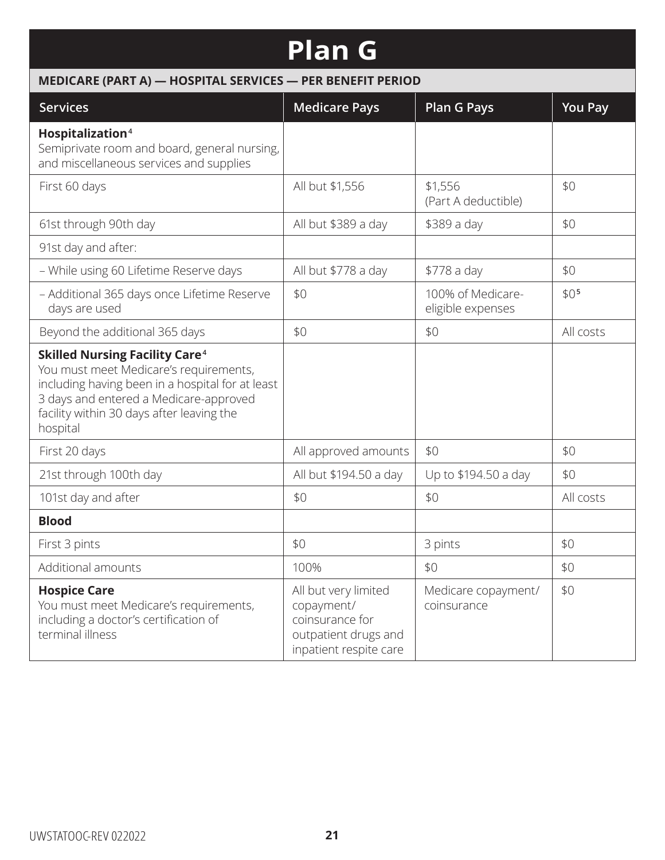# **Plan G**

| MEDICARE (PART A) - HOSPITAL SERVICES - PER BENEFIT PERIOD                                                                                                                                                                                        |                                                                                                         |                                        |                  |  |
|---------------------------------------------------------------------------------------------------------------------------------------------------------------------------------------------------------------------------------------------------|---------------------------------------------------------------------------------------------------------|----------------------------------------|------------------|--|
| <b>Services</b>                                                                                                                                                                                                                                   | <b>Medicare Pays</b>                                                                                    | <b>Plan G Pays</b>                     | <b>You Pay</b>   |  |
| Hospitalization <sup>4</sup><br>Semiprivate room and board, general nursing,<br>and miscellaneous services and supplies                                                                                                                           |                                                                                                         |                                        |                  |  |
| First 60 days                                                                                                                                                                                                                                     | All but \$1,556                                                                                         | \$1,556<br>(Part A deductible)         | \$0              |  |
| 61st through 90th day                                                                                                                                                                                                                             | All but \$389 a day                                                                                     | \$389 a day                            | \$0              |  |
| 91st day and after:                                                                                                                                                                                                                               |                                                                                                         |                                        |                  |  |
| - While using 60 Lifetime Reserve days                                                                                                                                                                                                            | All but \$778 a day                                                                                     | \$778 a day                            | \$0              |  |
| - Additional 365 days once Lifetime Reserve<br>days are used                                                                                                                                                                                      | \$0                                                                                                     | 100% of Medicare-<br>eligible expenses | \$0 <sub>5</sub> |  |
| Beyond the additional 365 days                                                                                                                                                                                                                    | \$0                                                                                                     | \$0                                    | All costs        |  |
| <b>Skilled Nursing Facility Care<sup>4</sup></b><br>You must meet Medicare's requirements,<br>including having been in a hospital for at least<br>3 days and entered a Medicare-approved<br>facility within 30 days after leaving the<br>hospital |                                                                                                         |                                        |                  |  |
| First 20 days                                                                                                                                                                                                                                     | All approved amounts                                                                                    | \$0                                    | \$0              |  |
| 21st through 100th day                                                                                                                                                                                                                            | All but \$194.50 a day                                                                                  | Up to \$194.50 a day                   | \$0              |  |
| 101st day and after                                                                                                                                                                                                                               | \$0                                                                                                     | \$0                                    | All costs        |  |
| <b>Blood</b>                                                                                                                                                                                                                                      |                                                                                                         |                                        |                  |  |
| First 3 pints                                                                                                                                                                                                                                     | \$0                                                                                                     | 3 pints                                | \$0              |  |
| Additional amounts                                                                                                                                                                                                                                | 100%                                                                                                    | \$0                                    | \$0              |  |
| <b>Hospice Care</b><br>You must meet Medicare's requirements,<br>including a doctor's certification of<br>terminal illness                                                                                                                        | All but very limited<br>copayment/<br>coinsurance for<br>outpatient drugs and<br>inpatient respite care | Medicare copayment/<br>coinsurance     | \$0              |  |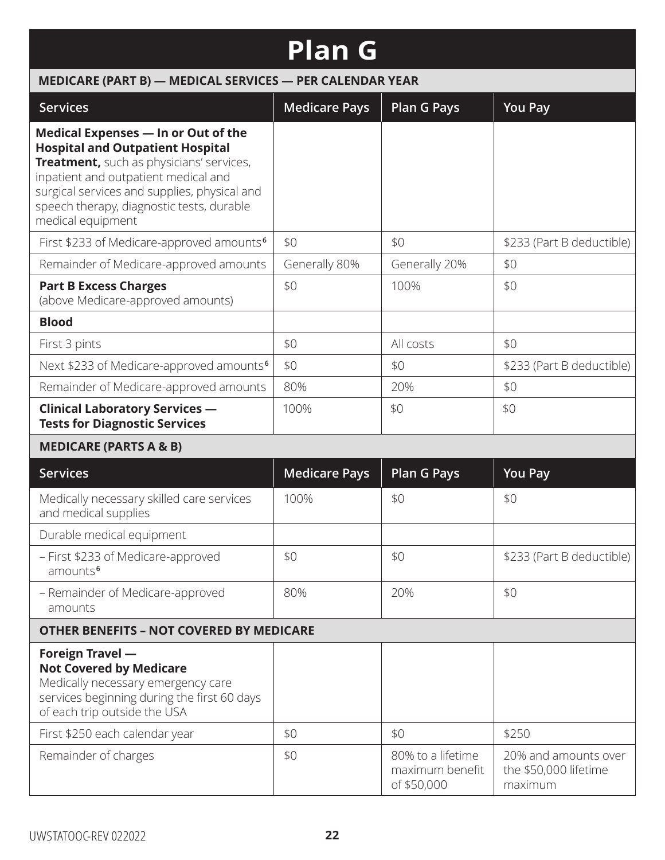# **Plan G**

| MEDICARE (PART B) - MEDICAL SERVICES - PER CALENDAR YEAR                                                                                                                                                                                                                             |                      |                                                     |                                                          |  |
|--------------------------------------------------------------------------------------------------------------------------------------------------------------------------------------------------------------------------------------------------------------------------------------|----------------------|-----------------------------------------------------|----------------------------------------------------------|--|
| <b>Services</b>                                                                                                                                                                                                                                                                      | <b>Medicare Pays</b> | <b>Plan G Pays</b>                                  | <b>You Pay</b>                                           |  |
| Medical Expenses - In or Out of the<br><b>Hospital and Outpatient Hospital</b><br>Treatment, such as physicians' services,<br>inpatient and outpatient medical and<br>surgical services and supplies, physical and<br>speech therapy, diagnostic tests, durable<br>medical equipment |                      |                                                     |                                                          |  |
| First \$233 of Medicare-approved amounts <sup>6</sup>                                                                                                                                                                                                                                | \$0                  | \$0                                                 | \$233 (Part B deductible)                                |  |
| Remainder of Medicare-approved amounts                                                                                                                                                                                                                                               | Generally 80%        | Generally 20%                                       | \$0                                                      |  |
| <b>Part B Excess Charges</b><br>(above Medicare-approved amounts)                                                                                                                                                                                                                    | \$0                  | 100%                                                | \$0                                                      |  |
| <b>Blood</b>                                                                                                                                                                                                                                                                         |                      |                                                     |                                                          |  |
| First 3 pints                                                                                                                                                                                                                                                                        | \$0                  | All costs                                           | \$0                                                      |  |
| Next \$233 of Medicare-approved amounts <sup>6</sup>                                                                                                                                                                                                                                 | \$0                  | \$0                                                 | \$233 (Part B deductible)                                |  |
| Remainder of Medicare-approved amounts                                                                                                                                                                                                                                               | 80%                  | 20%                                                 | \$0                                                      |  |
| <b>Clinical Laboratory Services -</b><br><b>Tests for Diagnostic Services</b>                                                                                                                                                                                                        | 100%                 | \$0                                                 | \$0                                                      |  |
| <b>MEDICARE (PARTS A &amp; B)</b>                                                                                                                                                                                                                                                    |                      |                                                     |                                                          |  |
| <b>Services</b>                                                                                                                                                                                                                                                                      | <b>Medicare Pays</b> | <b>Plan G Pays</b>                                  | <b>You Pay</b>                                           |  |
| Medically necessary skilled care services<br>and medical supplies                                                                                                                                                                                                                    | 100%                 | \$0                                                 | \$0                                                      |  |
| Durable medical equipment                                                                                                                                                                                                                                                            |                      |                                                     |                                                          |  |
| - First \$233 of Medicare-approved<br>amounts <sup>6</sup>                                                                                                                                                                                                                           | \$0                  | \$0                                                 | \$233 (Part B deductible)                                |  |
| - Remainder of Medicare-approved<br>amounts                                                                                                                                                                                                                                          | 80%                  | 20%                                                 | \$0                                                      |  |
| <b>OTHER BENEFITS - NOT COVERED BY MEDICARE</b>                                                                                                                                                                                                                                      |                      |                                                     |                                                          |  |
| Foreign Travel -<br><b>Not Covered by Medicare</b><br>Medically necessary emergency care<br>services beginning during the first 60 days<br>of each trip outside the USA                                                                                                              |                      |                                                     |                                                          |  |
| First \$250 each calendar year                                                                                                                                                                                                                                                       | \$0                  | \$0                                                 | \$250                                                    |  |
| Remainder of charges                                                                                                                                                                                                                                                                 | \$0                  | 80% to a lifetime<br>maximum benefit<br>of \$50,000 | 20% and amounts over<br>the \$50,000 lifetime<br>maximum |  |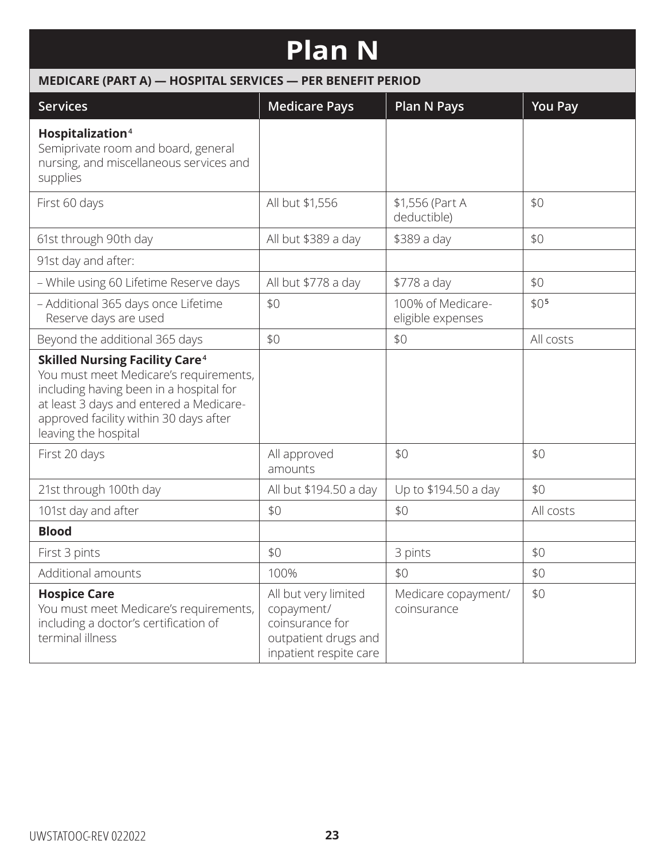# **Plan N**

| MEDICARE (PART A) - HOSPITAL SERVICES - PER BENEFIT PERIOD                                                                                                                                                                                         |                                                                                                         |                                        |                  |  |
|----------------------------------------------------------------------------------------------------------------------------------------------------------------------------------------------------------------------------------------------------|---------------------------------------------------------------------------------------------------------|----------------------------------------|------------------|--|
| <b>Services</b>                                                                                                                                                                                                                                    | <b>Medicare Pays</b>                                                                                    | <b>Plan N Pays</b>                     | <b>You Pay</b>   |  |
| Hospitalization <sup>4</sup><br>Semiprivate room and board, general<br>nursing, and miscellaneous services and<br>supplies                                                                                                                         |                                                                                                         |                                        |                  |  |
| First 60 days                                                                                                                                                                                                                                      | All but \$1,556                                                                                         | \$1,556 (Part A<br>deductible)         | \$0              |  |
| 61st through 90th day                                                                                                                                                                                                                              | All but \$389 a day                                                                                     | \$389 a day                            | \$0              |  |
| 91st day and after:                                                                                                                                                                                                                                |                                                                                                         |                                        |                  |  |
| - While using 60 Lifetime Reserve days                                                                                                                                                                                                             | All but \$778 a day                                                                                     | \$778 a day                            | \$0              |  |
| - Additional 365 days once Lifetime<br>Reserve days are used                                                                                                                                                                                       | \$0                                                                                                     | 100% of Medicare-<br>eligible expenses | \$0 <sub>5</sub> |  |
| Beyond the additional 365 days                                                                                                                                                                                                                     | \$0                                                                                                     | \$0                                    | All costs        |  |
| <b>Skilled Nursing Facility Care<sup>4</sup></b><br>You must meet Medicare's requirements,<br>including having been in a hospital for<br>at least 3 days and entered a Medicare-<br>approved facility within 30 days after<br>leaving the hospital |                                                                                                         |                                        |                  |  |
| First 20 days                                                                                                                                                                                                                                      | All approved<br>amounts                                                                                 | \$0                                    | \$0              |  |
| 21st through 100th day                                                                                                                                                                                                                             | All but \$194.50 a day                                                                                  | Up to \$194.50 a day                   | \$0              |  |
| 101st day and after                                                                                                                                                                                                                                | \$0                                                                                                     | \$0                                    | All costs        |  |
| <b>Blood</b>                                                                                                                                                                                                                                       |                                                                                                         |                                        |                  |  |
| First 3 pints                                                                                                                                                                                                                                      | \$0                                                                                                     | 3 pints                                | \$0              |  |
| Additional amounts                                                                                                                                                                                                                                 | 100%                                                                                                    | \$0                                    | \$0              |  |
| <b>Hospice Care</b><br>You must meet Medicare's requirements,<br>including a doctor's certification of<br>terminal illness                                                                                                                         | All but very limited<br>copayment/<br>coinsurance for<br>outpatient drugs and<br>inpatient respite care | Medicare copayment/<br>coinsurance     | \$0              |  |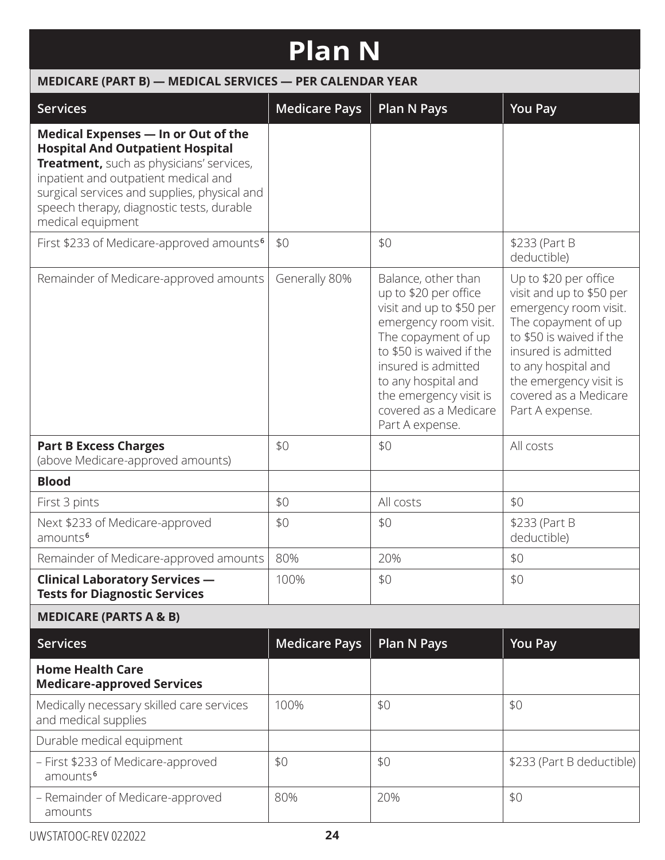# **Plan N**

| <b>Services</b>                                                                                                                                                                                                                                                                             | <b>Medicare Pays</b> | <b>Plan N Pays</b>                                                                                                                                                                                                                                                       | <b>You Pay</b>                                                                                                                                                                                                                                    |
|---------------------------------------------------------------------------------------------------------------------------------------------------------------------------------------------------------------------------------------------------------------------------------------------|----------------------|--------------------------------------------------------------------------------------------------------------------------------------------------------------------------------------------------------------------------------------------------------------------------|---------------------------------------------------------------------------------------------------------------------------------------------------------------------------------------------------------------------------------------------------|
| <b>Medical Expenses - In or Out of the</b><br><b>Hospital And Outpatient Hospital</b><br>Treatment, such as physicians' services,<br>inpatient and outpatient medical and<br>surgical services and supplies, physical and<br>speech therapy, diagnostic tests, durable<br>medical equipment |                      |                                                                                                                                                                                                                                                                          |                                                                                                                                                                                                                                                   |
| First \$233 of Medicare-approved amounts <sup>6</sup>                                                                                                                                                                                                                                       | \$0                  | \$0                                                                                                                                                                                                                                                                      | \$233 (Part B<br>deductible)                                                                                                                                                                                                                      |
| Remainder of Medicare-approved amounts                                                                                                                                                                                                                                                      | Generally 80%        | Balance, other than<br>up to \$20 per office<br>visit and up to \$50 per<br>emergency room visit.<br>The copayment of up<br>to \$50 is waived if the<br>insured is admitted<br>to any hospital and<br>the emergency visit is<br>covered as a Medicare<br>Part A expense. | Up to \$20 per office<br>visit and up to \$50 per<br>emergency room visit.<br>The copayment of up<br>to \$50 is waived if the<br>insured is admitted<br>to any hospital and<br>the emergency visit is<br>covered as a Medicare<br>Part A expense. |
| <b>Part B Excess Charges</b><br>(above Medicare-approved amounts)                                                                                                                                                                                                                           | \$0                  | \$0                                                                                                                                                                                                                                                                      | All costs                                                                                                                                                                                                                                         |
| <b>Blood</b>                                                                                                                                                                                                                                                                                |                      |                                                                                                                                                                                                                                                                          |                                                                                                                                                                                                                                                   |
| First 3 pints                                                                                                                                                                                                                                                                               | \$0                  | All costs                                                                                                                                                                                                                                                                | \$0                                                                                                                                                                                                                                               |
| Next \$233 of Medicare-approved<br>amounts <sup>6</sup>                                                                                                                                                                                                                                     | \$0                  | \$0                                                                                                                                                                                                                                                                      | \$233 (Part B<br>deductible)                                                                                                                                                                                                                      |
| Remainder of Medicare-approved amounts                                                                                                                                                                                                                                                      | 80%                  | 20%                                                                                                                                                                                                                                                                      | \$0                                                                                                                                                                                                                                               |
| <b>Clinical Laboratory Services -</b><br><b>Tests for Diagnostic Services</b>                                                                                                                                                                                                               | 100%                 | \$0                                                                                                                                                                                                                                                                      | \$0                                                                                                                                                                                                                                               |
| <b>MEDICARE (PARTS A &amp; B)</b>                                                                                                                                                                                                                                                           |                      |                                                                                                                                                                                                                                                                          |                                                                                                                                                                                                                                                   |
| <b>Services</b>                                                                                                                                                                                                                                                                             | <b>Medicare Pays</b> | <b>Plan N Pays</b>                                                                                                                                                                                                                                                       | <b>You Pay</b>                                                                                                                                                                                                                                    |
| <b>Home Health Care</b><br><b>Medicare-approved Services</b>                                                                                                                                                                                                                                |                      |                                                                                                                                                                                                                                                                          |                                                                                                                                                                                                                                                   |
| Medically necessary skilled care services<br>and medical supplies                                                                                                                                                                                                                           | 100%                 | \$0                                                                                                                                                                                                                                                                      | \$0                                                                                                                                                                                                                                               |
| Durable medical equipment                                                                                                                                                                                                                                                                   |                      |                                                                                                                                                                                                                                                                          |                                                                                                                                                                                                                                                   |
| - First \$233 of Medicare-approved<br>amounts <sup>6</sup>                                                                                                                                                                                                                                  | \$0                  | \$0                                                                                                                                                                                                                                                                      | \$233 (Part B deductible)                                                                                                                                                                                                                         |

– Remainder of Medicare-approved

 $80\%$   $20\%$  \$0